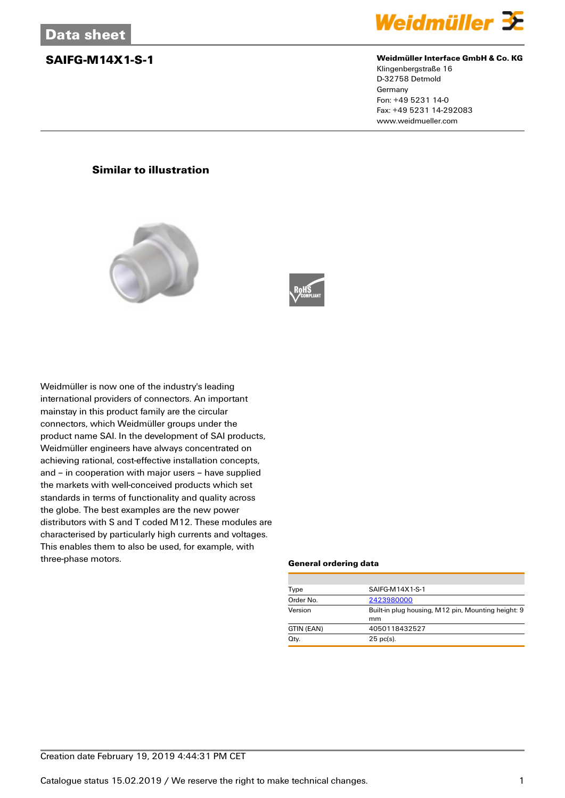

### **SAIFG-M14X1-S-1 Weidmüller Interface GmbH & Co. KG**

Klingenbergstraße 16 D-32758 Detmold Germany Fon: +49 5231 14-0 Fax: +49 5231 14-292083 www.weidmueller.com

## **Similar to illustration**





Weidmüller is now one of the industry's leading international providers of connectors. An important mainstay in this product family are the circular connectors, which Weidmüller groups under the product name SAI. In the development of SAI products, Weidmüller engineers have always concentrated on achieving rational, cost-effective installation concepts, and – in cooperation with major users – have supplied the markets with well-conceived products which set standards in terms of functionality and quality across the globe. The best examples are the new power distributors with S and T coded M12. These modules are characterised by particularly high currents and voltages. This enables them to also be used, for example, with three-phase motors.

### **General ordering data**

| Type       | SAIFG-M14X1-S-1                                    |  |  |
|------------|----------------------------------------------------|--|--|
| Order No.  | 2423980000                                         |  |  |
| Version    | Built-in plug housing, M12 pin, Mounting height: 9 |  |  |
|            | mm                                                 |  |  |
| GTIN (EAN) | 4050118432527                                      |  |  |
| Qty.       | $25$ pc(s).                                        |  |  |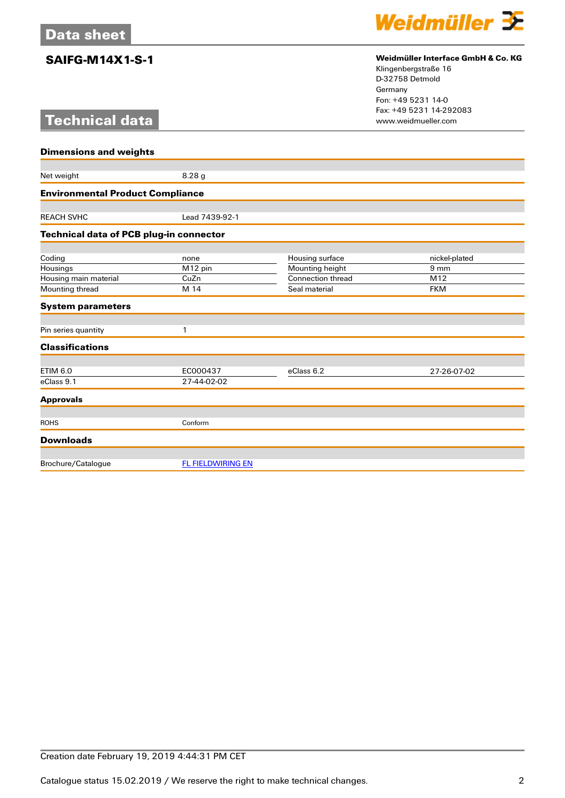# **Technical data**



## **SAIFG-M14X1-S-1 Weidmüller Interface GmbH & Co. KG**

Klingenbergstraße 16 D-32758 Detmold Germany Fon: +49 5231 14-0 Fax: +49 5231 14-292083

| <b>Dimensions and weights</b>           |                          |                          |                 |  |
|-----------------------------------------|--------------------------|--------------------------|-----------------|--|
|                                         |                          |                          |                 |  |
| Net weight                              | 8.28g                    |                          |                 |  |
| <b>Environmental Product Compliance</b> |                          |                          |                 |  |
|                                         |                          |                          |                 |  |
| <b>REACH SVHC</b>                       | Lead 7439-92-1           |                          |                 |  |
| Technical data of PCB plug-in connector |                          |                          |                 |  |
| Coding                                  | none                     | Housing surface          | nickel-plated   |  |
| Housings                                | M12 pin                  | Mounting height          | 9 <sub>mm</sub> |  |
| Housing main material                   | CuZn                     | <b>Connection thread</b> | M12             |  |
| Mounting thread                         | M 14                     | Seal material            | <b>FKM</b>      |  |
| <b>System parameters</b>                |                          |                          |                 |  |
| Pin series quantity                     | 1                        |                          |                 |  |
|                                         |                          |                          |                 |  |
| <b>Classifications</b>                  |                          |                          |                 |  |
| <b>ETIM 6.0</b>                         | EC000437                 | eClass 6.2               | 27-26-07-02     |  |
| eClass 9.1                              | 27-44-02-02              |                          |                 |  |
| <b>Approvals</b>                        |                          |                          |                 |  |
|                                         |                          |                          |                 |  |
| <b>ROHS</b>                             | Conform                  |                          |                 |  |
| <b>Downloads</b>                        |                          |                          |                 |  |
| Brochure/Catalogue                      | <b>FL FIELDWIRING EN</b> |                          |                 |  |
|                                         |                          |                          |                 |  |